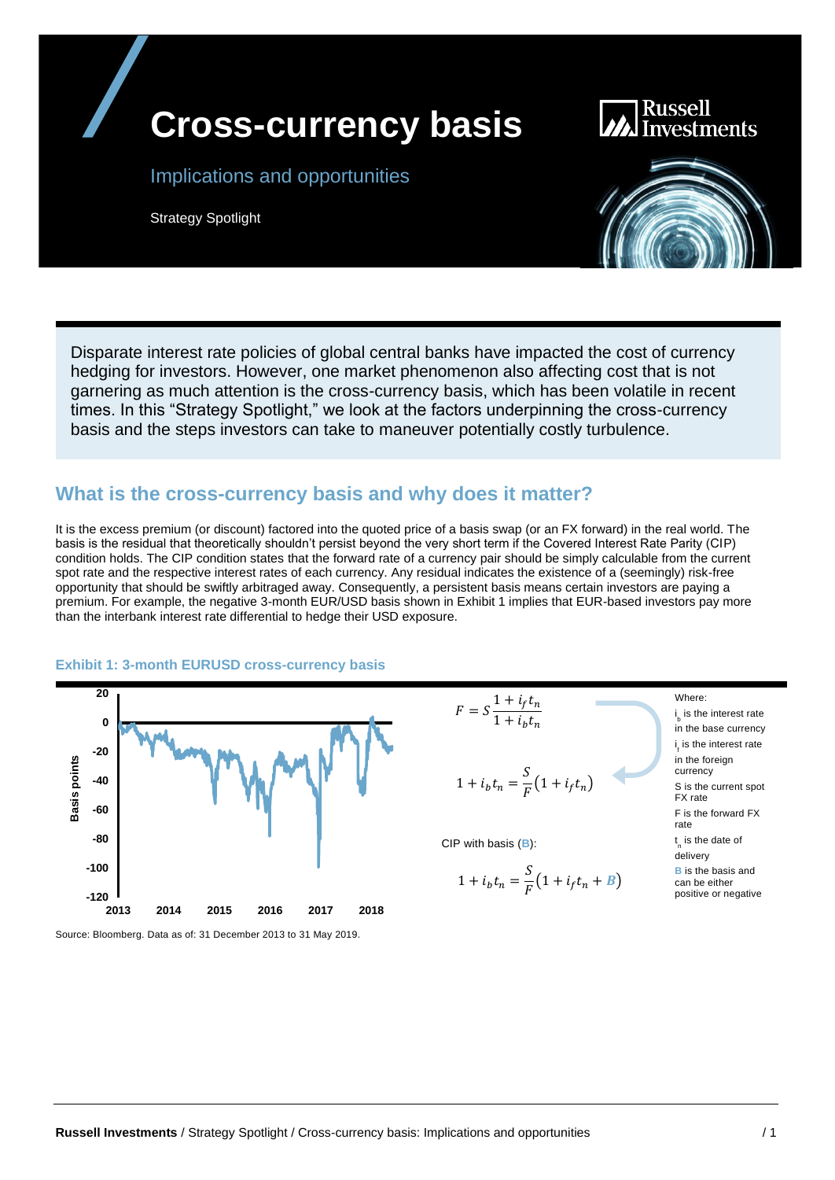

Russell **Investments** 

#### Implications and opportunities

Strategy Spotlight



Disparate interest rate policies of global central banks have impacted the cost of currency hedging for investors. However, one market phenomenon also affecting cost that is not garnering as much attention is the cross-currency basis, which has been volatile in recent times. In this "Strategy Spotlight," we look at the factors underpinning the cross-currency basis and the steps investors can take to maneuver potentially costly turbulence.

#### **What is the cross-currency basis and why does it matter?**

It is the excess premium (or discount) factored into the quoted price of a basis swap (or an FX forward) in the real world. The basis is the residual that theoretically shouldn't persist beyond the very short term if the Covered Interest Rate Parity (CIP) condition holds. The CIP condition states that the forward rate of a currency pair should be simply calculable from the current spot rate and the respective interest rates of each currency. Any residual indicates the existence of a (seemingly) risk-free opportunity that should be swiftly arbitraged away. Consequently, a persistent basis means certain investors are paying a premium. For example, the negative 3-month EUR/USD basis shown in Exhibit 1 implies that EUR-based investors pay more than the interbank interest rate differential to hedge their USD exposure.

#### **Exhibit 1: 3-month EURUSD cross-currency basis**



 $1 + i_b t_n = \frac{S}{E}$  $\frac{1}{F}(1 + i_f t_n)$  $1 + i_b t_n$ 

CIP with basis (**B**):

 $F = S \frac{1 + i_f t_n}{1 + i_f t_n}$ 

$$
1 + i_b t_n = \frac{S}{F} \left( 1 + i_f t_n + B \right)
$$

Where:

i<sub>c</sub> is the interest rate b in the base currency i is the interest rate f in the foreign currency S is the current spot FX rate F is the forward FX rate t<sub>n</sub> is the date of delivery **B** is the basis and can be either

positive or negative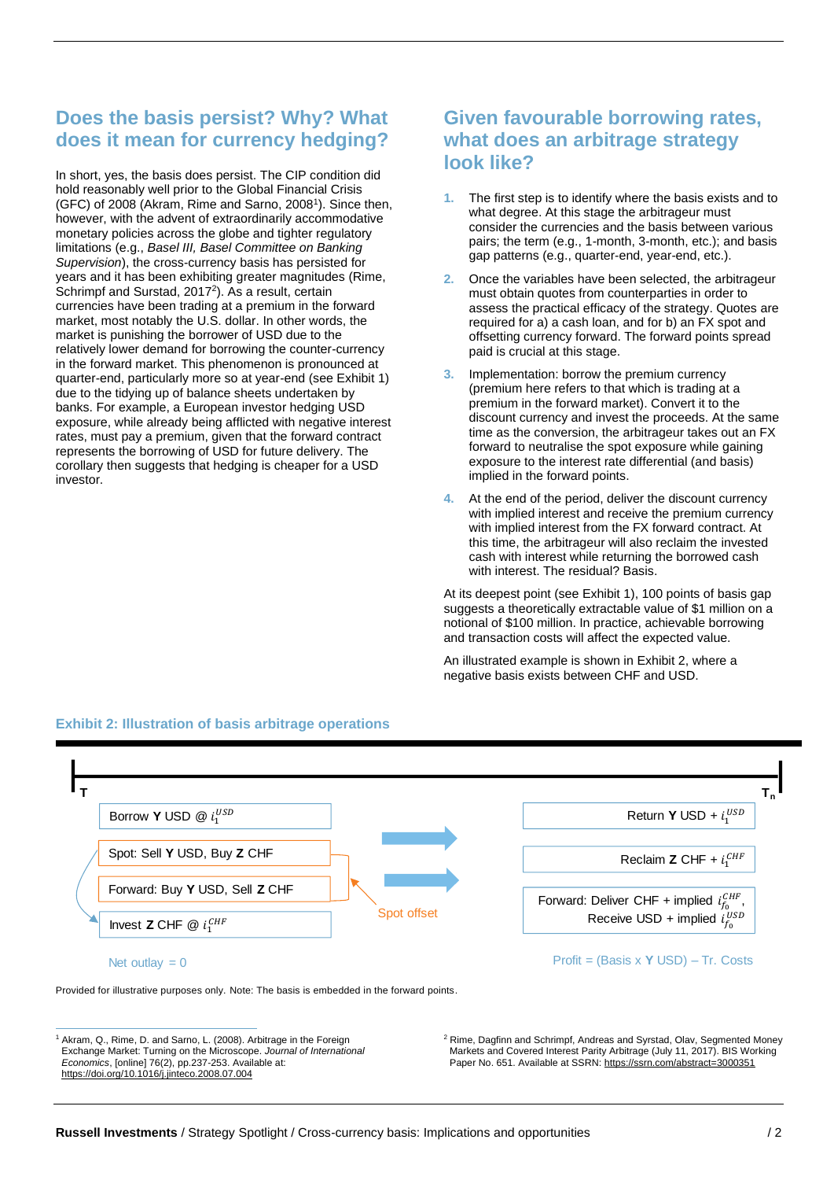# **Does the basis persist? Why? What does it mean for currency hedging?**

In short, yes, the basis does persist. The CIP condition did hold reasonably well prior to the Global Financial Crisis (GFC) of 2008 (Akram, Rime and Sarno, 2008<sup>1</sup>). Since then, however, with the advent of extraordinarily accommodative monetary policies across the globe and tighter regulatory limitations (e.g., *Basel III, Basel Committee on Banking Supervision*), the cross-currency basis has persisted for years and it has been exhibiting greater magnitudes (Rime, Schrimpf and Surstad, 2017<sup>2</sup>). As a result, certain currencies have been trading at a premium in the forward market, most notably the U.S. dollar. In other words, the market is punishing the borrower of USD due to the relatively lower demand for borrowing the counter-currency in the forward market. This phenomenon is pronounced at quarter-end, particularly more so at year-end (see Exhibit 1) due to the tidying up of balance sheets undertaken by banks. For example, a European investor hedging USD exposure, while already being afflicted with negative interest rates, must pay a premium, given that the forward contract represents the borrowing of USD for future delivery. The corollary then suggests that hedging is cheaper for a USD investor.

## **Given favourable borrowing rates, what does an arbitrage strategy look like?**

- **1.** The first step is to identify where the basis exists and to what degree. At this stage the arbitrageur must consider the currencies and the basis between various pairs; the term (e.g., 1-month, 3-month, etc.); and basis gap patterns (e.g., quarter-end, year-end, etc.).
- **2.** Once the variables have been selected, the arbitrageur must obtain quotes from counterparties in order to assess the practical efficacy of the strategy. Quotes are required for a) a cash loan, and for b) an FX spot and offsetting currency forward. The forward points spread paid is crucial at this stage.
- **3.** Implementation: borrow the premium currency (premium here refers to that which is trading at a premium in the forward market). Convert it to the discount currency and invest the proceeds. At the same time as the conversion, the arbitrageur takes out an FX forward to neutralise the spot exposure while gaining exposure to the interest rate differential (and basis) implied in the forward points.
- **4.** At the end of the period, deliver the discount currency with implied interest and receive the premium currency with implied interest from the FX forward contract. At this time, the arbitrageur will also reclaim the invested cash with interest while returning the borrowed cash with interest. The residual? Basis.

At its deepest point (see Exhibit 1), 100 points of basis gap suggests a theoretically extractable value of \$1 million on a notional of \$100 million. In practice, achievable borrowing and transaction costs will affect the expected value.

An illustrated example is shown in Exhibit 2, where a negative basis exists between CHF and USD.



#### **Exhibit 2: Illustration of basis arbitrage operations**

Provided for illustrative purposes only. Note: The basis is embedded in the forward points.

<sup>1</sup> Akram, Q., Rime, D. and Sarno, L. (2008). Arbitrage in the Foreign Exchange Market: Turning on the Microscope. *Journal of International Economics*, [online] 76(2), pp.237-253. Available at: https://doi.org/10.1016/j.jinteco.2008.07.004

<sup>2</sup> Rime, Dagfinn and Schrimpf, Andreas and Syrstad, Olav, Segmented Money Markets and Covered Interest Parity Arbitrage (July 11, 2017). BIS Working Paper No. 651. Available at SSRN: <https://ssrn.com/abstract=3000351>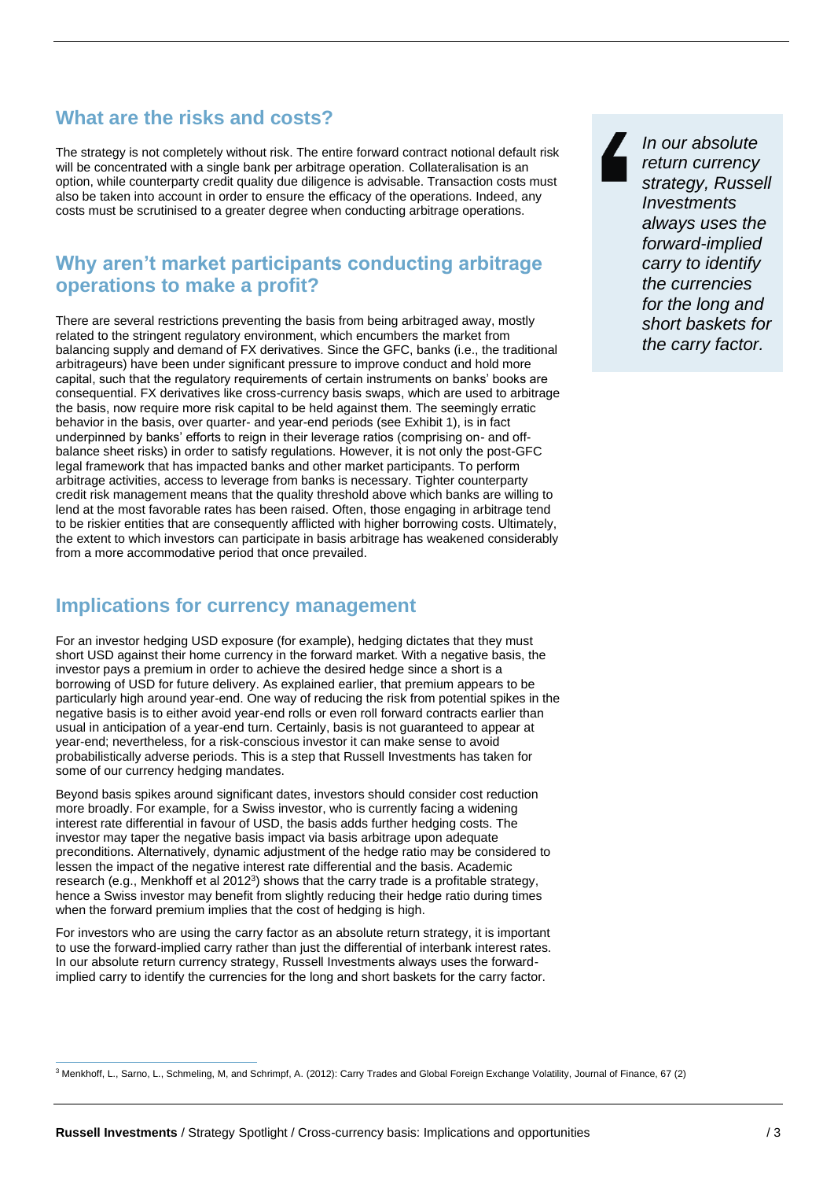## **What are the risks and costs?**

The strategy is not completely without risk. The entire forward contract notional default risk will be concentrated with a single bank per arbitrage operation. Collateralisation is an option, while counterparty credit quality due diligence is advisable. Transaction costs must also be taken into account in order to ensure the efficacy of the operations. Indeed, any costs must be scrutinised to a greater degree when conducting arbitrage operations.

### **Why aren't market participants conducting arbitrage operations to make a profit?**

There are several restrictions preventing the basis from being arbitraged away, mostly related to the stringent regulatory environment, which encumbers the market from balancing supply and demand of FX derivatives. Since the GFC, banks (i.e., the traditional arbitrageurs) have been under significant pressure to improve conduct and hold more capital, such that the regulatory requirements of certain instruments on banks' books are consequential. FX derivatives like cross-currency basis swaps, which are used to arbitrage the basis, now require more risk capital to be held against them. The seemingly erratic behavior in the basis, over quarter- and year-end periods (see Exhibit 1), is in fact underpinned by banks' efforts to reign in their leverage ratios (comprising on- and offbalance sheet risks) in order to satisfy regulations. However, it is not only the post-GFC legal framework that has impacted banks and other market participants. To perform arbitrage activities, access to leverage from banks is necessary. Tighter counterparty credit risk management means that the quality threshold above which banks are willing to lend at the most favorable rates has been raised. Often, those engaging in arbitrage tend to be riskier entities that are consequently afflicted with higher borrowing costs. Ultimately, the extent to which investors can participate in basis arbitrage has weakened considerably from a more accommodative period that once prevailed.

### **Implications for currency management**

For an investor hedging USD exposure (for example), hedging dictates that they must short USD against their home currency in the forward market. With a negative basis, the investor pays a premium in order to achieve the desired hedge since a short is a borrowing of USD for future delivery. As explained earlier, that premium appears to be particularly high around year-end. One way of reducing the risk from potential spikes in the negative basis is to either avoid year-end rolls or even roll forward contracts earlier than usual in anticipation of a year-end turn. Certainly, basis is not guaranteed to appear at year-end; nevertheless, for a risk-conscious investor it can make sense to avoid probabilistically adverse periods. This is a step that Russell Investments has taken for some of our currency hedging mandates.

Beyond basis spikes around significant dates, investors should consider cost reduction more broadly. For example, for a Swiss investor, who is currently facing a widening interest rate differential in favour of USD, the basis adds further hedging costs. The investor may taper the negative basis impact via basis arbitrage upon adequate preconditions. Alternatively, dynamic adjustment of the hedge ratio may be considered to lessen the impact of the negative interest rate differential and the basis. Academic research (e.g., Menkhoff et al 2012<sup>3</sup>) shows that the carry trade is a profitable strategy, hence a Swiss investor may benefit from slightly reducing their hedge ratio during times when the forward premium implies that the cost of hedging is high.

For investors who are using the carry factor as an absolute return strategy, it is important to use the forward-implied carry rather than just the differential of interbank interest rates. In our absolute return currency strategy, Russell Investments always uses the forwardimplied carry to identify the currencies for the long and short baskets for the carry factor.

*In our absolute return currency strategy, Russell Investments always uses the forward-implied carry to identify the currencies for the long and short baskets for the carry factor.*

<sup>3</sup> Menkhoff, L., Sarno, L., Schmeling, M, and Schrimpf, A. (2012): Carry Trades and Global Foreign Exchange Volatility, Journal of Finance, 67 (2)